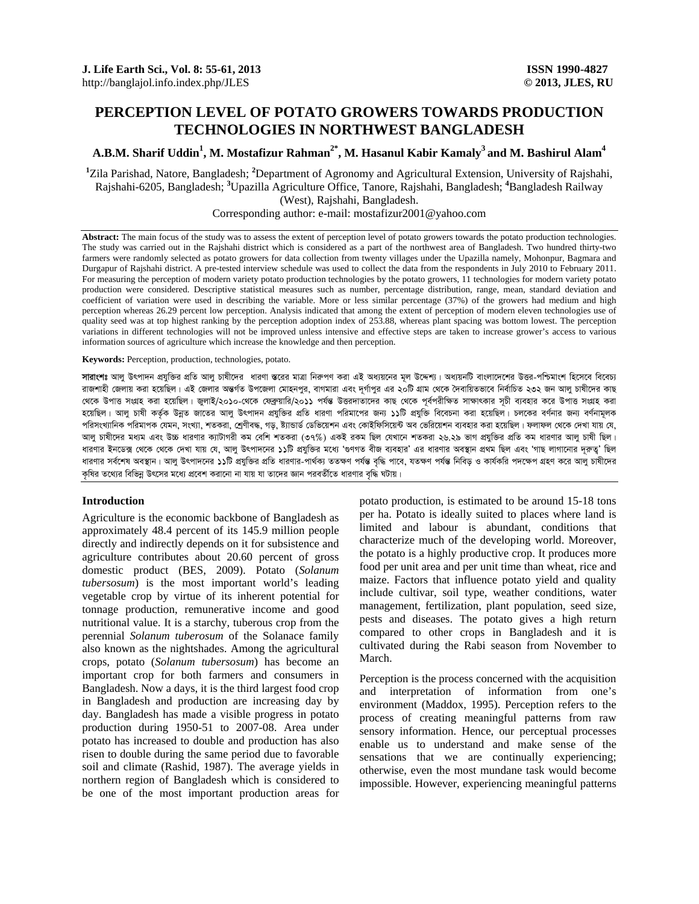# **PERCEPTION LEVEL OF POTATO GROWERS TOWARDS PRODUCTION TECHNOLOGIES IN NORTHWEST BANGLADESH**

## A.B.M. Sharif Uddin<sup>1</sup>, M. Mostafizur Rahman<sup>2\*</sup>, M. Hasanul Kabir Kamaly<sup>3</sup> and M. Bashirul Alam<sup>4</sup>

<sup>1</sup>Zila Parishad, Natore, Bangladesh; <sup>2</sup>Department of Agronomy and Agricultural Extension, University of Rajshahi, Rajshahi-6205, Bangladesh; **<sup>3</sup>** Upazilla Agriculture Office, Tanore, Rajshahi, Bangladesh; **<sup>4</sup>** Bangladesh Railway (West), Rajshahi, Bangladesh.

Corresponding author: e-mail: mostafizur2001@yahoo.com

Abstract: The main focus of the study was to assess the extent of perception level of potato growers towards the potato production technologies. The study was carried out in the Rajshahi district which is considered as a part of the northwest area of Bangladesh. Two hundred thirty-two farmers were randomly selected as potato growers for data collection from twenty villages under the Upazilla namely, Mohonpur, Bagmara and Durgapur of Rajshahi district. A pre-tested interview schedule was used to collect the data from the respondents in July 2010 to February 2011. For measuring the perception of modern variety potato production technologies by the potato growers, 11 technologies for modern variety potato production were considered. Descriptive statistical measures such as number, percentage distribution, range, mean, standard deviation and coefficient of variation were used in describing the variable. More or less similar percentage (37%) of the growers had medium and high perception whereas 26.29 percent low perception. Analysis indicated that among the extent of perception of modern eleven technologies use of quality seed was at top highest ranking by the perception adoption index of 253.88, whereas plant spacing was bottom lowest. The perception variations in different technologies will not be improved unless intensive and effective steps are taken to increase grower's access to various information sources of agriculture which increase the knowledge and then perception.

**Keywords:** Perception, production, technologies, potato.

**সারাংশঃ** আলু উৎপাদন প্রযুক্তির প্রতি আলু চাষীদের ধারণা স্তরের মাত্রা নিরুপণ করা এই অধ্যয়নের মল উদ্যেনটি বাংলাদেশের উত্তর-পশ্চিমাংশ হিসেবে বিবেচ্য রাজশাহী জেলায় করা হয়েছিল। এই জেলার অন্তর্গত উপজেলা মোহনপুর, বাগমারা এবং দূর্গাপুর এর ২০টি গ্রাম থেকে দৈবায়িতভাবে নির্বাচিত ২৩২ জন আলু চাষীদের কাছ থেকে উপাত্ত সংগ্ৰহ করা হয়েছিল। জুলাই/২০১০-থেকে ফেব্রুয়ারি/২০১১ পর্যন্ত উত্তরদাতাদের কাছ থেকে পূর্বপরীক্ষিত সাক্ষাৎকার সূচী ব্যবহার করে উপাত্ত সংগ্রহ করা হয়েছিল। আল চাষী কৰ্তক উন্নত জাতের আল উৎপাদন প্রযুক্তির প্রতি ধারণা পরিমাপের জন্য ১১টি প্রযুক্তি বিবেচনা করা হয়েছিল। চলকের বর্ণনার জন্য বর্ণনায়লক পরিসংখ্যানিক পরিমাপক যেমন, সংখ্যা, শতকরা, শ্রেণীবদ্ধ, গড়, ষ্ট্যান্ডার্ড ডেভিয়েশন এবং কোইফিসিয়েন্ট অব ভেরিয়েশন ব্যবহার করা হয়েছিল। ফলাফল থেকে দেখা যায় যে, আল চাষীদের মধ্যম এবং উচ্চ ধারণার ক্যাটাগরী কম বেশি শতকরা (৩৭%) একই রকম ছিল যেখানে শতকরা ২৬.২৯ ভাগ প্রযুক্তির প্রতি কম ধারণার আল চাষী ছিল। ধারণার ইনডেক্স থেকে থেকে দেখা যায় যে, আলু উৎপাদনের ১১টি প্রযুক্তির মধ্যে 'গুণগত বীজ ব্যবহার' এর ধারণার অবস্থান প্রাহু শিছ লাগানোর দরুত্ব' ছিল ধারণার সর্বশেষ অবস্থান। আল উৎপাদনের ১১টি প্রযক্তির প্রতি ধারণার-পার্থক্য ততক্ষণ পর্যন্ত বারি পরীস বিজি ও কার্যকরি পদক্ষেপ গ্রহণ করে আল চাষীদের কৃষির তথ্যের বিভিন্ন উৎসের মধ্যে প্রবেশ করানো না যায় যা তাদের জ্ঞান পরবর্তীতে ধারণার বৃদ্ধি ঘটায়।

### **Introduction**

Agriculture is the economic backbone of Bangladesh as approximately 48.4 percent of its 145.9 million people directly and indirectly depends on it for subsistence and agriculture contributes about 20.60 percent of gross domestic product (BES, 2009). Potato (*Solanum tubersosum*) is the most important world's leading vegetable crop by virtue of its inherent potential for tonnage production, remunerative income and good nutritional value. It is a starchy, tuberous crop from the perennial *Solanum tuberosum* of the Solanace family also known as the nightshades. Among the agricultural crops, potato (*Solanum tubersosum*) has become an important crop for both farmers and consumers in Bangladesh. Now a days, it is the third largest food crop in Bangladesh and production are increasing day by day. Bangladesh has made a visible progress in potato production during 1950-51 to 2007-08. Area under potato has increased to double and production has also risen to double during the same period due to favorable soil and climate (Rashid, 1987). The average yields in northern region of Bangladesh which is considered to be one of the most important production areas for potato production, is estimated to be around 15-18 tons per ha. Potato is ideally suited to places where land is limited and labour is abundant, conditions that characterize much of the developing world. Moreover, the potato is a highly productive crop. It produces more food per unit area and per unit time than wheat, rice and maize. Factors that influence potato yield and quality include cultivar, soil type, weather conditions, water management, fertilization, plant population, seed size, pests and diseases. The potato gives a high return compared to other crops in Bangladesh and it is cultivated during the Rabi season from November to March.

Perception is the process concerned with the acquisition and interpretation of information from one's environment (Maddox, 1995). Perception refers to the process of creating meaningful patterns from raw sensory information. Hence, our perceptual processes enable us to understand and make sense of the sensations that we are continually experiencing; otherwise, even the most mundane task would become impossible. However, experiencing meaningful patterns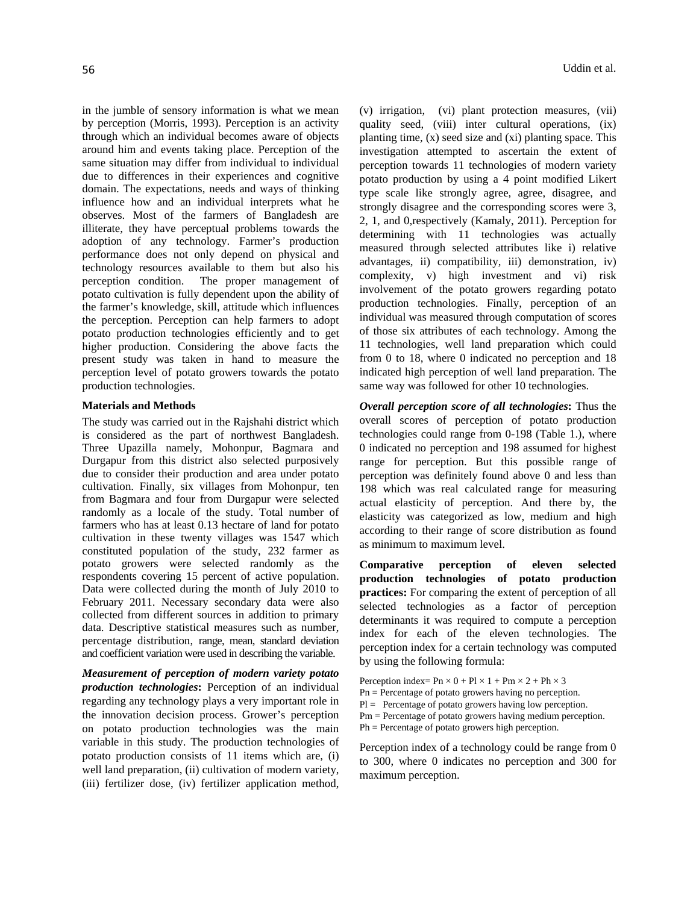in the jumble of sensory information is what we mean by perception (Morris, 1993). Perception is an activity through which an individual becomes aware of objects around him and events taking place. Perception of the same situation may differ from individual to individual due to differences in their experiences and cognitive domain. The expectations, needs and ways of thinking influence how and an individual interprets what he observes. Most of the farmers of Bangladesh are illiterate, they have perceptual problems towards the adoption of any technology. Farmer's production performance does not only depend on physical and technology resources available to them but also his perception condition. The proper management of potato cultivation is fully dependent upon the ability of the farmer's knowledge, skill, attitude which influences the perception. Perception can help farmers to adopt potato production technologies efficiently and to get higher production. Considering the above facts the present study was taken in hand to measure the perception level of potato growers towards the potato production technologies.

#### **Materials and Methods**

The study was carried out in the Rajshahi district which is considered as the part of northwest Bangladesh. Three Upazilla namely, Mohonpur, Bagmara and Durgapur from this district also selected purposively due to consider their production and area under potato cultivation. Finally, six villages from Mohonpur, ten from Bagmara and four from Durgapur were selected randomly as a locale of the study. Total number of farmers who has at least 0.13 hectare of land for potato cultivation in these twenty villages was 1547 which constituted population of the study, 232 farmer as potato growers were selected randomly as the respondents covering 15 percent of active population. Data were collected during the month of July 2010 to February 2011. Necessary secondary data were also collected from different sources in addition to primary data. Descriptive statistical measures such as number, percentage distribution, range, mean, standard deviation and coefficient variation were used in describing the variable.

*Measurement of perception of modern variety potato production technologies***:** Perception of an individual regarding any technology plays a very important role in the innovation decision process. Grower's perception on potato production technologies was the main variable in this study. The production technologies of potato production consists of 11 items which are, (i) well land preparation, (ii) cultivation of modern variety, (iii) fertilizer dose, (iv) fertilizer application method,

(v) irrigation, (vi) plant protection measures, (vii) quality seed, (viii) inter cultural operations, (ix) planting time, (x) seed size and (xi) planting space. This investigation attempted to ascertain the extent of perception towards 11 technologies of modern variety potato production by using a 4 point modified Likert type scale like strongly agree, agree, disagree, and strongly disagree and the corresponding scores were 3, 2, 1, and 0,respectively (Kamaly, 2011). Perception for determining with 11 technologies was actually measured through selected attributes like i) relative advantages, ii) compatibility, iii) demonstration, iv) complexity, v) high investment and vi) risk involvement of the potato growers regarding potato production technologies. Finally, perception of an individual was measured through computation of scores of those six attributes of each technology. Among the 11 technologies, well land preparation which could from 0 to 18, where 0 indicated no perception and 18 indicated high perception of well land preparation. The same way was followed for other 10 technologies.

*Overall perception score of all technologies***:** Thus the overall scores of perception of potato production technologies could range from 0-198 (Table 1.), where 0 indicated no perception and 198 assumed for highest range for perception. But this possible range of perception was definitely found above 0 and less than 198 which was real calculated range for measuring actual elasticity of perception. And there by, the elasticity was categorized as low, medium and high according to their range of score distribution as found as minimum to maximum level.

**Comparative perception of eleven selected production technologies of potato production practices:** For comparing the extent of perception of all selected technologies as a factor of perception determinants it was required to compute a perception index for each of the eleven technologies. The perception index for a certain technology was computed by using the following formula:

Perception index=  $\text{Pn} \times 0 + \text{Pl} \times 1 + \text{Pm} \times 2 + \text{Ph} \times 3$ Pn = Percentage of potato growers having no perception.  $Pl =$  Percentage of potato growers having low perception. Pm = Percentage of potato growers having medium perception. Ph = Percentage of potato growers high perception.

Perception index of a technology could be range from 0 to 300, where 0 indicates no perception and 300 for maximum perception.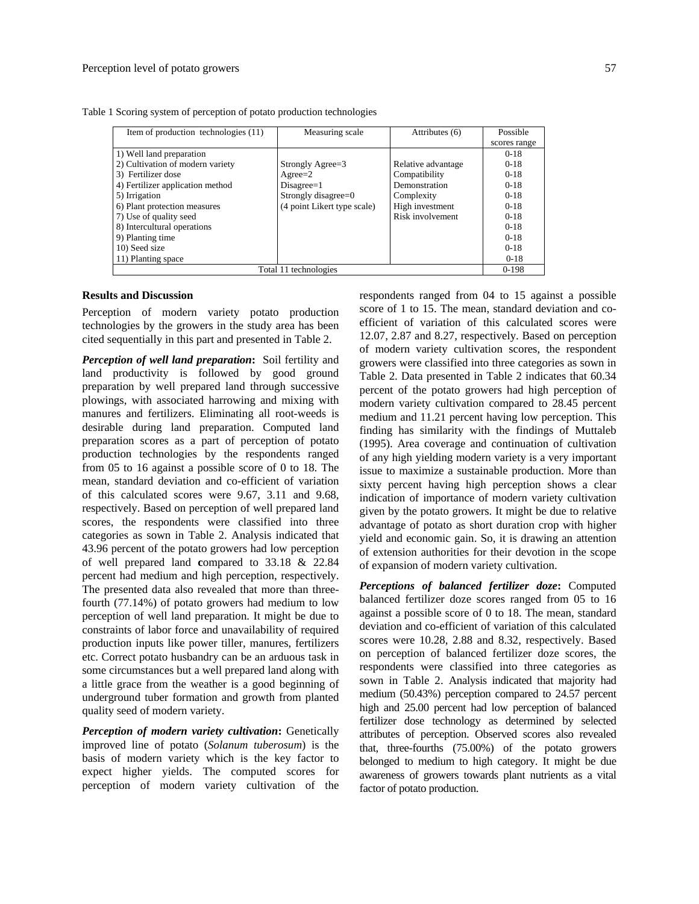| Item of production technologies (11) | Measuring scale             | Attributes (6)     | Possible     |
|--------------------------------------|-----------------------------|--------------------|--------------|
|                                      |                             |                    | scores range |
| 1) Well land preparation             |                             |                    | $0-18$       |
| 2) Cultivation of modern variety     | Strongly Agree=3            | Relative advantage | $0-18$       |
| 3) Fertilizer dose                   | A <sub>greez</sub> 2        | Compatibility      | $0-18$       |
| 4) Fertilizer application method     | $Disagree=1$                | Demonstration      | $0-18$       |
| 5) Irrigation                        | Strongly disagree=0         | Complexity         | $0-18$       |
| 6) Plant protection measures         | (4 point Likert type scale) | High investment    | $0-18$       |
| 7) Use of quality seed               |                             | Risk involvement   | $0-18$       |
| 8) Intercultural operations          |                             |                    | $0-18$       |
| 9) Planting time                     |                             |                    | $0-18$       |
| 10) Seed size                        |                             |                    | $0-18$       |
| 11) Planting space                   |                             |                    | $0 - 18$     |
| Total 11 technologies                |                             |                    |              |

Table 1 Scoring system of perception of potato production technologies

### **Results and Discussion**

Perception of modern variety potato production technologies by the growers in the study area has been cited sequentially in this part and presented in Table 2.

*Perception of well land preparation***:** Soil fertility and land productivity is followed by good ground preparation by well prepared land through successive plowings, with associated harrowing and mixing with manures and fertilizers. Eliminating all root-weeds is desirable during land preparation. Computed land preparation scores as a part of perception of potato production technologies by the respondents ranged from 05 to 16 against a possible score of 0 to 18. The mean, standard deviation and co-efficient of variation of this calculated scores were 9.67, 3.11 and 9.68, respectively. Based on perception of well prepared land scores, the respondents were classified into three categories as sown in Table 2. Analysis indicated that 43.96 percent of the potato growers had low perception of well prepared land **c**ompared to 33.18 & 22.84 percent had medium and high perception, respectively. The presented data also revealed that more than threefourth (77.14%) of potato growers had medium to low perception of well land preparation. It might be due to constraints of labor force and unavailability of required production inputs like power tiller, manures, fertilizers etc. Correct potato husbandry can be an arduous task in some circumstances but a well prepared land along with a little grace from the weather is a good beginning of underground tuber formation and growth from planted quality seed of modern variety.

*Perception of modern variety cultivation***:** Genetically improved line of potato (*Solanum tuberosum*) is the basis of modern variety which is the key factor to expect higher yields. The computed scores for perception of modern variety cultivation of the

respondents ranged from 04 to 15 against a possible score of 1 to 15. The mean, standard deviation and coefficient of variation of this calculated scores were 12.07, 2.87 and 8.27, respectively. Based on perception of modern variety cultivation scores, the respondent growers were classified into three categories as sown in Table 2. Data presented in Table 2 indicates that 60.34 percent of the potato growers had high perception of modern variety cultivation compared to 28.45 percent medium and 11.21 percent having low perception. This finding has similarity with the findings of Muttaleb (1995). Area coverage and continuation of cultivation of any high yielding modern variety is a very important issue to maximize a sustainable production. More than sixty percent having high perception shows a clear indication of importance of modern variety cultivation given by the potato growers. It might be due to relative advantage of potato as short duration crop with higher yield and economic gain. So, it is drawing an attention of extension authorities for their devotion in the scope of expansion of modern variety cultivation.

*Perceptions of balanced fertilizer doze***:** Computed balanced fertilizer doze scores ranged from 05 to 16 against a possible score of 0 to 18. The mean, standard deviation and co-efficient of variation of this calculated scores were 10.28, 2.88 and 8.32, respectively. Based on perception of balanced fertilizer doze scores, the respondents were classified into three categories as sown in Table 2. Analysis indicated that majority had medium (50.43%) perception compared to 24.57 percent high and 25.00 percent had low perception of balanced fertilizer dose technology as determined by selected attributes of perception. Observed scores also revealed that, three-fourths (75.00%) of the potato growers belonged to medium to high category. It might be due awareness of growers towards plant nutrients as a vital factor of potato production.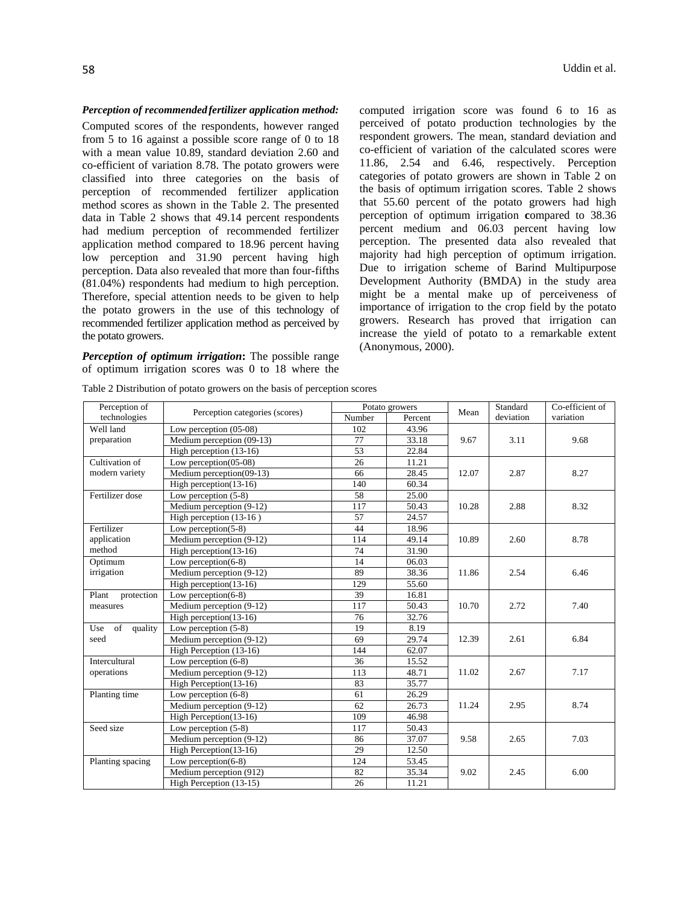## *Perception of recommendedfertilizer application method:*

Computed scores of the respondents, however ranged from 5 to 16 against a possible score range of 0 to 18 with a mean value 10.89, standard deviation 2.60 and co-efficient of variation 8.78. The potato growers were classified into three categories on the basis of perception of recommended fertilizer application method scores as shown in the Table 2. The presented data in Table 2 shows that 49.14 percent respondents had medium perception of recommended fertilizer application method compared to 18.96 percent having low perception and 31.90 percent having high perception. Data also revealed that more than four-fifths (81.04%) respondents had medium to high perception. Therefore, special attention needs to be given to help the potato growers in the use of this technology of recommended fertilizer application method as perceived by the potato growers.

*Perception of optimum irrigation***:** The possible range of optimum irrigation scores was 0 to 18 where the computed irrigation score was found 6 to 16 as perceived of potato production technologies by the respondent growers. The mean, standard deviation and co-efficient of variation of the calculated scores were 11.86, 2.54 and 6.46, respectively. Perception categories of potato growers are shown in Table 2 on the basis of optimum irrigation scores. Table 2 shows that 55.60 percent of the potato growers had high perception of optimum irrigation **c**ompared to 38.36 percent medium and 06.03 percent having low perception. The presented data also revealed that majority had high perception of optimum irrigation. Due to irrigation scheme of Barind Multipurpose Development Authority (BMDA) in the study area might be a mental make up of perceiveness of importance of irrigation to the crop field by the potato growers. Research has proved that irrigation can increase the yield of potato to a remarkable extent (Anonymous, 2000).

| Perception of        |                                | Potato growers |         | Mean  | Standard  | Co-efficient of |
|----------------------|--------------------------------|----------------|---------|-------|-----------|-----------------|
| technologies         | Perception categories (scores) | Number         | Percent |       | deviation | variation       |
| Well land            | Low perception $(05-08)$       | 102            | 43.96   |       |           |                 |
| preparation          | Medium perception (09-13)      | 77             | 33.18   | 9.67  | 3.11      | 9.68            |
|                      | High perception (13-16)        | 53             | 22.84   |       |           |                 |
| Cultivation of       | Low perception $(05-08)$       | 26             | 11.21   |       |           |                 |
| modern variety       | Medium perception(09-13)       | 66             | 28.45   | 12.07 | 2.87      | 8.27            |
|                      | High perception $(13-16)$      | 140            | 60.34   |       |           |                 |
| Fertilizer dose      | Low perception $(5-8)$         | 58             | 25.00   |       |           |                 |
|                      | Medium perception (9-12)       | 117            | 50.43   | 10.28 | 2.88      | 8.32            |
|                      | High perception (13-16)        | 57             | 24.57   |       |           |                 |
| Fertilizer           | Low perception $(5-8)$         | 44             | 18.96   |       |           |                 |
| application          | Medium perception (9-12)       | 114            | 49.14   | 10.89 | 2.60      | 8.78            |
| method               | High perception $(13-16)$      | 74             | 31.90   |       |           |                 |
| Optimum              | Low perception $(6-8)$         | 14             | 06.03   |       |           |                 |
| irrigation           | Medium perception (9-12)       | 89             | 38.36   | 11.86 | 2.54      | 6.46            |
|                      | High perception $(13-16)$      | 129            | 55.60   |       |           |                 |
| Plant<br>protection  | Low perception $(6-8)$         | 39             | 16.81   |       |           |                 |
| measures             | Medium perception (9-12)       | 117            | 50.43   | 10.70 | 2.72      | 7.40            |
|                      | High perception $(13-16)$      | 76             | 32.76   |       |           |                 |
| of<br>quality<br>Use | Low perception $(5-8)$         | 19             | 8.19    |       |           |                 |
| seed                 | Medium perception (9-12)       | 69             | 29.74   | 12.39 | 2.61      | 6.84            |
|                      | High Perception (13-16)        | 144            | 62.07   |       |           |                 |
| Intercultural        | Low perception $(6-8)$         | 36             | 15.52   |       |           |                 |
| operations           | Medium perception (9-12)       | 113            | 48.71   | 11.02 | 2.67      | 7.17            |
|                      | High Perception(13-16)         | 83             | 35.77   |       |           |                 |
| Planting time        | Low perception $(6-8)$         | 61             | 26.29   |       |           |                 |
|                      | Medium perception (9-12)       | 62             | 26.73   | 11.24 | 2.95      | 8.74            |
|                      | High Perception $(13-16)$      | 109            | 46.98   |       |           |                 |
| Seed size            | Low perception $(5-8)$         | 117            | 50.43   |       |           |                 |
|                      | Medium perception (9-12)       | 86             | 37.07   | 9.58  | 2.65      | 7.03            |
|                      | High Perception $(13-16)$      | 29             | 12.50   |       |           |                 |
| Planting spacing     | Low perception $(6-8)$         | 124            | 53.45   |       |           |                 |
|                      | Medium perception (912)        | 82             | 35.34   | 9.02  | 2.45      | 6.00            |
|                      | High Perception (13-15)        | 26             | 11.21   |       |           |                 |

Table 2 Distribution of potato growers on the basis of perception scores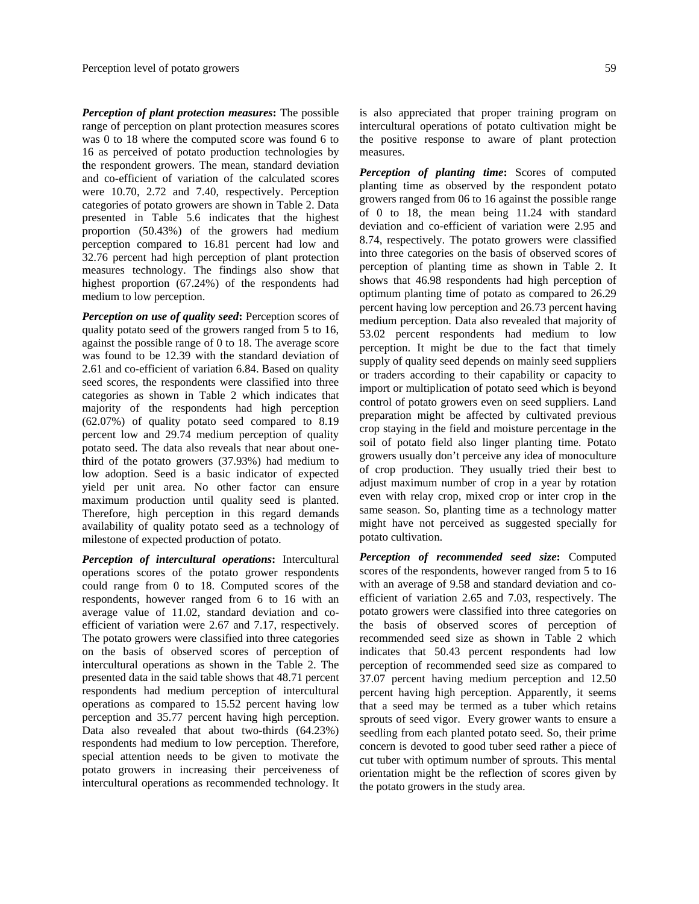*Perception of plant protection measures***:** The possible range of perception on plant protection measures scores was 0 to 18 where the computed score was found 6 to 16 as perceived of potato production technologies by the respondent growers. The mean, standard deviation and co-efficient of variation of the calculated scores were 10.70, 2.72 and 7.40, respectively. Perception categories of potato growers are shown in Table 2. Data presented in Table 5.6 indicates that the highest proportion (50.43%) of the growers had medium perception compared to 16.81 percent had low and 32.76 percent had high perception of plant protection measures technology. The findings also show that highest proportion (67.24%) of the respondents had medium to low perception.

*Perception on use of quality seed***:** Perception scores of quality potato seed of the growers ranged from 5 to 16, against the possible range of 0 to 18. The average score was found to be 12.39 with the standard deviation of 2.61 and co-efficient of variation 6.84. Based on quality seed scores, the respondents were classified into three categories as shown in Table 2 which indicates that majority of the respondents had high perception (62.07%) of quality potato seed compared to 8.19 percent low and 29.74 medium perception of quality potato seed. The data also reveals that near about onethird of the potato growers (37.93%) had medium to low adoption. Seed is a basic indicator of expected yield per unit area. No other factor can ensure maximum production until quality seed is planted. Therefore, high perception in this regard demands availability of quality potato seed as a technology of milestone of expected production of potato.

*Perception of intercultural operations***:** Intercultural operations scores of the potato grower respondents could range from 0 to 18. Computed scores of the respondents, however ranged from 6 to 16 with an average value of 11.02, standard deviation and coefficient of variation were 2.67 and 7.17, respectively. The potato growers were classified into three categories on the basis of observed scores of perception of intercultural operations as shown in the Table 2. The presented data in the said table shows that 48.71 percent respondents had medium perception of intercultural operations as compared to 15.52 percent having low perception and 35.77 percent having high perception. Data also revealed that about two-thirds (64.23%) respondents had medium to low perception. Therefore, special attention needs to be given to motivate the potato growers in increasing their perceiveness of intercultural operations as recommended technology. It is also appreciated that proper training program on intercultural operations of potato cultivation might be the positive response to aware of plant protection measures.

*Perception of planting time***:** Scores of computed planting time as observed by the respondent potato growers ranged from 06 to 16 against the possible range of 0 to 18, the mean being 11.24 with standard deviation and co-efficient of variation were 2.95 and 8.74, respectively. The potato growers were classified into three categories on the basis of observed scores of perception of planting time as shown in Table 2. It shows that 46.98 respondents had high perception of optimum planting time of potato as compared to 26.29 percent having low perception and 26.73 percent having medium perception. Data also revealed that majority of 53.02 percent respondents had medium to low perception. It might be due to the fact that timely supply of quality seed depends on mainly seed suppliers or traders according to their capability or capacity to import or multiplication of potato seed which is beyond control of potato growers even on seed suppliers. Land preparation might be affected by cultivated previous crop staying in the field and moisture percentage in the soil of potato field also linger planting time. Potato growers usually don't perceive any idea of monoculture of crop production. They usually tried their best to adjust maximum number of crop in a year by rotation even with relay crop, mixed crop or inter crop in the same season. So, planting time as a technology matter might have not perceived as suggested specially for potato cultivation.

*Perception of recommended seed size***:** Computed scores of the respondents, however ranged from 5 to 16 with an average of 9.58 and standard deviation and coefficient of variation 2.65 and 7.03, respectively. The potato growers were classified into three categories on the basis of observed scores of perception of recommended seed size as shown in Table 2 which indicates that 50.43 percent respondents had low perception of recommended seed size as compared to 37.07 percent having medium perception and 12.50 percent having high perception. Apparently, it seems that a seed may be termed as a tuber which retains sprouts of seed vigor. Every grower wants to ensure a seedling from each planted potato seed. So, their prime concern is devoted to good tuber seed rather a piece of cut tuber with optimum number of sprouts. This mental orientation might be the reflection of scores given by the potato growers in the study area.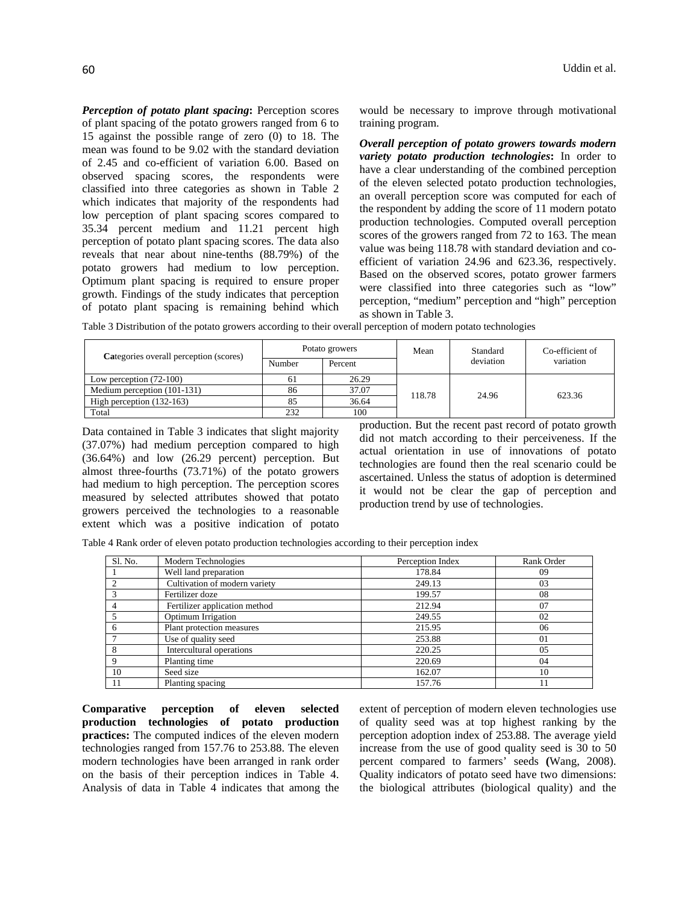*Perception of potato plant spacing***:** Perception scores of plant spacing of the potato growers ranged from 6 to 15 against the possible range of zero (0) to 18. The mean was found to be 9.02 with the standard deviation of 2.45 and co-efficient of variation 6.00. Based on observed spacing scores, the respondents were classified into three categories as shown in Table 2 which indicates that majority of the respondents had low perception of plant spacing scores compared to 35.34 percent medium and 11.21 percent high perception of potato plant spacing scores. The data also reveals that near about nine-tenths (88.79%) of the potato growers had medium to low perception. Optimum plant spacing is required to ensure proper growth. Findings of the study indicates that perception of potato plant spacing is remaining behind which

60 Uddin et al.

would be necessary to improve through motivational training program.

*Overall perception of potato growers towards modern variety potato production technologies***:** In order to have a clear understanding of the combined perception of the eleven selected potato production technologies, an overall perception score was computed for each of the respondent by adding the score of 11 modern potato production technologies. Computed overall perception scores of the growers ranged from 72 to 163. The mean value was being 118.78 with standard deviation and coefficient of variation 24.96 and 623.36, respectively. Based on the observed scores, potato grower farmers were classified into three categories such as "low" perception, "medium" perception and "high" perception as shown in Table 3.

Table 3 Distribution of the potato growers according to their overall perception of modern potato technologies

| Categories overall perception (scores) | Potato growers |         | Mean  | Standard  | Co-efficient of |
|----------------------------------------|----------------|---------|-------|-----------|-----------------|
|                                        | Number         | Percent |       | deviation | variation       |
| Low perception $(72-100)$              | 61             | 26.29   |       |           |                 |
| Medium perception (101-131)            | 86             | 37.07   | 18.78 | 24.96     | 623.36          |
| High perception $(132-163)$            | 85             | 36.64   |       |           |                 |
| Total                                  | 232            | 100     |       |           |                 |

Data contained in Table 3 indicates that slight majority (37.07%) had medium perception compared to high (36.64%) and low (26.29 percent) perception. But almost three-fourths (73.71%) of the potato growers had medium to high perception. The perception scores measured by selected attributes showed that potato growers perceived the technologies to a reasonable extent which was a positive indication of potato

production. But the recent past record of potato growth did not match according to their perceiveness. If the actual orientation in use of innovations of potato technologies are found then the real scenario could be ascertained. Unless the status of adoption is determined it would not be clear the gap of perception and production trend by use of technologies.

Table 4 Rank order of eleven potato production technologies according to their perception index

| S1. No. | Modern Technologies           | Perception Index | Rank Order |
|---------|-------------------------------|------------------|------------|
|         | Well land preparation         | 178.84           | 09         |
|         | Cultivation of modern variety | 249.13           | 03         |
|         | Fertilizer doze               | 199.57           | 08         |
|         | Fertilizer application method | 212.94           | 07         |
|         | Optimum Irrigation            | 249.55           | 02         |
|         | Plant protection measures     | 215.95           | 06         |
|         | Use of quality seed           | 253.88           | 01         |
|         | Intercultural operations      | 220.25           | 05         |
|         | Planting time                 | 220.69           | 04         |
| 10      | Seed size                     | 162.07           | 10         |
|         | Planting spacing              | 157.76           |            |

**Comparative perception of eleven selected production technologies of potato production practices:** The computed indices of the eleven modern technologies ranged from 157.76 to 253.88. The eleven modern technologies have been arranged in rank order on the basis of their perception indices in Table 4. Analysis of data in Table 4 indicates that among the

extent of perception of modern eleven technologies use of quality seed was at top highest ranking by the perception adoption index of 253.88. The average yield increase from the use of good quality seed is 30 to 50 percent compared to farmers' seeds **(**Wang, 2008). Quality indicators of potato seed have two dimensions: the biological attributes (biological quality) and the